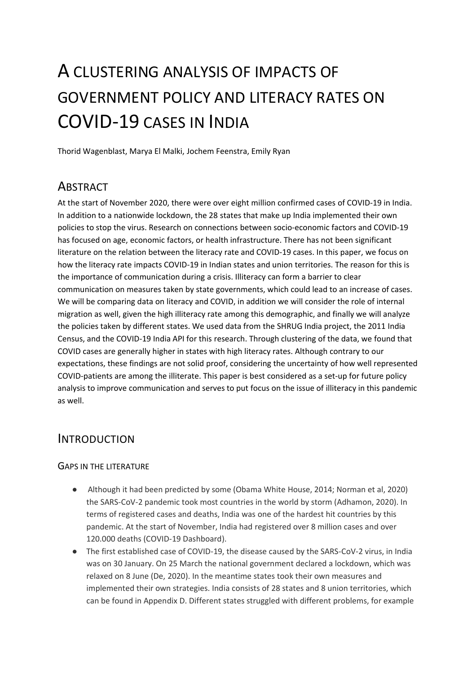# A CLUSTERING ANALYSIS OF IMPACTS OF GOVERNMENT POLICY AND LITERACY RATES ON COVID-19 CASES IN INDIA

Thorid Wagenblast, Marya El Malki, Jochem Feenstra, Emily Ryan

# **ABSTRACT**

At the start of November 2020, there were over eight million confirmed cases of COVID-19 in India. In addition to a nationwide lockdown, the 28 states that make up India implemented their own policies to stop the virus. Research on connections between socio-economic factors and COVID-19 has focused on age, economic factors, or health infrastructure. There has not been significant literature on the relation between the literacy rate and COVID-19 cases. In this paper, we focus on how the literacy rate impacts COVID-19 in Indian states and union territories. The reason for this is the importance of communication during a crisis. Illiteracy can form a barrier to clear communication on measures taken by state governments, which could lead to an increase of cases. We will be comparing data on literacy and COVID, in addition we will consider the role of internal migration as well, given the high illiteracy rate among this demographic, and finally we will analyze the policies taken by different states. We used data from the SHRUG India project, the 2011 India Census, and the COVID-19 India API for this research. Through clustering of the data, we found that COVID cases are generally higher in states with high literacy rates. Although contrary to our expectations, these findings are not solid proof, considering the uncertainty of how well represented COVID-patients are among the illiterate. This paper is best considered as a set-up for future policy analysis to improve communication and serves to put focus on the issue of illiteracy in this pandemic as well.

# INTRODUCTION

#### GAPS IN THE LITERATURE

- Although it had been predicted by some (Obama White House, 2014; Norman et al, 2020) the SARS-CoV-2 pandemic took most countries in the world by storm (Adhamon, 2020). In terms of registered cases and deaths, India was one of the hardest hit countries by this pandemic. At the start of November, India had registered over 8 million cases and over 120.000 deaths (COVID-19 Dashboard).
- The first established case of COVID-19, the disease caused by the SARS-CoV-2 virus, in India was on 30 January. On 25 March the national government declared a lockdown, which was relaxed on 8 June (De, 2020). In the meantime states took their own measures and implemented their own strategies. India consists of 28 states and 8 union territories, which can be found in Appendix D. Different states struggled with different problems, for example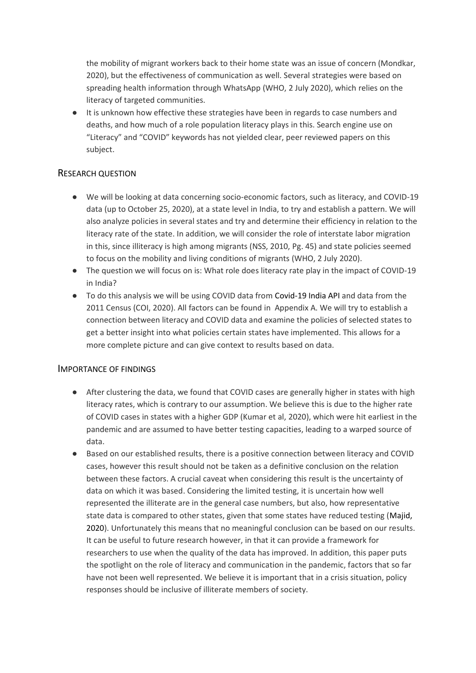the mobility of migrant workers back to their home state was an issue of concern (Mondkar, 2020), but the effectiveness of communication as well. Several strategies were based on spreading health information through WhatsApp (WHO, 2 July 2020), which relies on the literacy of targeted communities.

● It is unknown how effective these strategies have been in regards to case numbers and deaths, and how much of a role population literacy plays in this. Search engine use on "Literacy" and "COVID" keywords has not yielded clear, peer reviewed papers on this subject.

#### RESEARCH QUESTION

- We will be looking at data concerning socio-economic factors, such as literacy, and COVID-19 data (up to October 25, 2020), at a state level in India, to try and establish a pattern. We will also analyze policies in several states and try and determine their efficiency in relation to the literacy rate of the state. In addition, we will consider the role of interstate labor migration in this, since illiteracy is high among migrants (NSS, 2010, Pg. 45) and state policies seemed to focus on the mobility and living conditions of migrants (WHO, 2 July 2020).
- The question we will focus on is: What role does literacy rate play in the impact of COVID-19 in India?
- To do this analysis we will be using COVID data from Covid-19 India API and data from the 2011 Census (COI, 2020). All factors can be found in Appendix A. We will try to establish a connection between literacy and COVID data and examine the policies of selected states to get a better insight into what policies certain states have implemented. This allows for a more complete picture and can give context to results based on data.

#### IMPORTANCE OF FINDINGS

- After clustering the data, we found that COVID cases are generally higher in states with high literacy rates, which is contrary to our assumption. We believe this is due to the higher rate of COVID cases in states with a higher GDP (Kumar et al, 2020), which were hit earliest in the pandemic and are assumed to have better testing capacities, leading to a warped source of data.
- Based on our established results, there is a positive connection between literacy and COVID cases, however this result should not be taken as a definitive conclusion on the relation between these factors. A crucial caveat when considering this result is the uncertainty of data on which it was based. Considering the limited testing, it is uncertain how well represented the illiterate are in the general case numbers, but also, how representative state data is compared to other states, given that some states have reduced testing (Majid, 2020). Unfortunately this means that no meaningful conclusion can be based on our results. It can be useful to future research however, in that it can provide a framework for researchers to use when the quality of the data has improved. In addition, this paper puts the spotlight on the role of literacy and communication in the pandemic, factors that so far have not been well represented. We believe it is important that in a crisis situation, policy responses should be inclusive of illiterate members of society.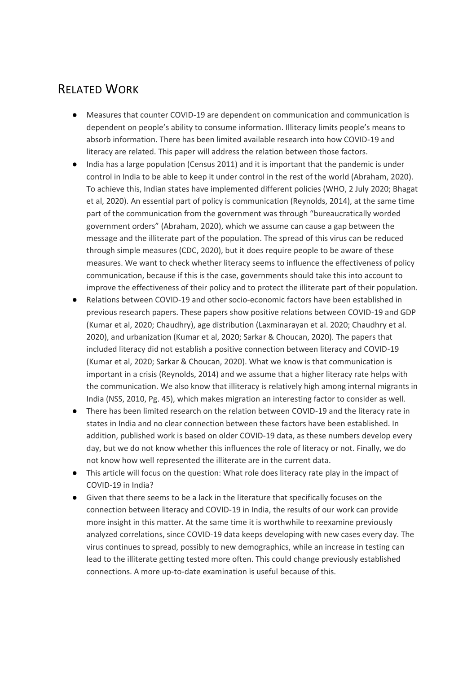# RELATED WORK

- Measures that counter COVID-19 are dependent on communication and communication is dependent on people's ability to consume information. Illiteracy limits people's means to absorb information. There has been limited available research into how COVID-19 and literacy are related. This paper will address the relation between those factors.
- India has a large population (Census 2011) and it is important that the pandemic is under control in India to be able to keep it under control in the rest of the world (Abraham, 2020). To achieve this, Indian states have implemented different policies (WHO, 2 July 2020; Bhagat et al, 2020). An essential part of policy is communication (Reynolds, 2014), at the same time part of the communication from the government was through "bureaucratically worded government orders" (Abraham, 2020), which we assume can cause a gap between the message and the illiterate part of the population. The spread of this virus can be reduced through simple measures (CDC, 2020), but it does require people to be aware of these measures. We want to check whether literacy seems to influence the effectiveness of policy communication, because if this is the case, governments should take this into account to improve the effectiveness of their policy and to protect the illiterate part of their population.
- Relations between COVID-19 and other socio-economic factors have been established in previous research papers. These papers show positive relations between COVID-19 and GDP (Kumar et al, 2020; Chaudhry), age distribution (Laxminarayan et al. 2020; Chaudhry et al. 2020), and urbanization (Kumar et al, 2020; Sarkar & Choucan, 2020). The papers that included literacy did not establish a positive connection between literacy and COVID-19 (Kumar et al, 2020; Sarkar & Choucan, 2020). What we know is that communication is important in a crisis (Reynolds, 2014) and we assume that a higher literacy rate helps with the communication. We also know that illiteracy is relatively high among internal migrants in India (NSS, 2010, Pg. 45), which makes migration an interesting factor to consider as well.
- There has been limited research on the relation between COVID-19 and the literacy rate in states in India and no clear connection between these factors have been established. In addition, published work is based on older COVID-19 data, as these numbers develop every day, but we do not know whether this influences the role of literacy or not. Finally, we do not know how well represented the illiterate are in the current data.
- This article will focus on the question: What role does literacy rate play in the impact of COVID-19 in India?
- Given that there seems to be a lack in the literature that specifically focuses on the connection between literacy and COVID-19 in India, the results of our work can provide more insight in this matter. At the same time it is worthwhile to reexamine previously analyzed correlations, since COVID-19 data keeps developing with new cases every day. The virus continues to spread, possibly to new demographics, while an increase in testing can lead to the illiterate getting tested more often. This could change previously established connections. A more up-to-date examination is useful because of this.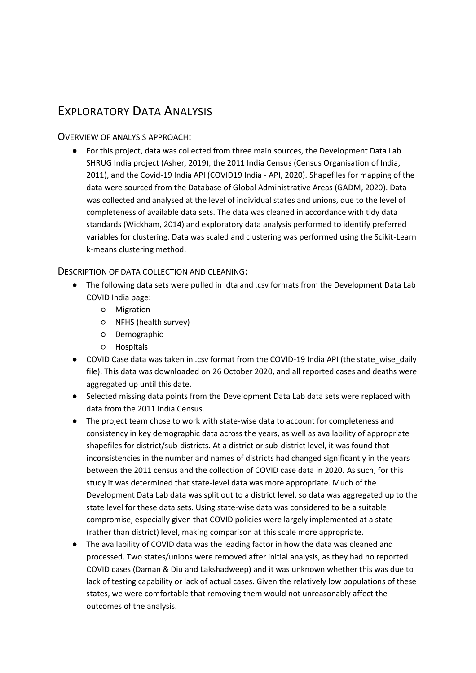# EXPLORATORY DATA ANALYSIS

#### OVERVIEW OF ANALYSIS APPROACH:

● For this project, data was collected from three main sources, the Development Data Lab SHRUG India project (Asher, 2019), the 2011 India Census (Census Organisation of India, 2011), and the Covid-19 India API (COVID19 India - API, 2020). Shapefiles for mapping of the data were sourced from the Database of Global Administrative Areas (GADM, 2020). Data was collected and analysed at the level of individual states and unions, due to the level of completeness of available data sets. The data was cleaned in accordance with tidy data standards (Wickham, 2014) and exploratory data analysis performed to identify preferred variables for clustering. Data was scaled and clustering was performed using the Scikit-Learn k-means clustering method.

#### DESCRIPTION OF DATA COLLECTION AND CLEANING:

- The following data sets were pulled in .dta and .csv formats from the Development Data Lab COVID India page:
	- Migration
	- NFHS (health survey)
	- Demographic
	- Hospitals
- COVID Case data was taken in .csv format from the COVID-19 India API (the state wise daily file). This data was downloaded on 26 October 2020, and all reported cases and deaths were aggregated up until this date.
- Selected missing data points from the Development Data Lab data sets were replaced with data from the 2011 India Census.
- The project team chose to work with state-wise data to account for completeness and consistency in key demographic data across the years, as well as availability of appropriate shapefiles for district/sub-districts. At a district or sub-district level, it was found that inconsistencies in the number and names of districts had changed significantly in the years between the 2011 census and the collection of COVID case data in 2020. As such, for this study it was determined that state-level data was more appropriate. Much of the Development Data Lab data was split out to a district level, so data was aggregated up to the state level for these data sets. Using state-wise data was considered to be a suitable compromise, especially given that COVID policies were largely implemented at a state (rather than district) level, making comparison at this scale more appropriate.
- The availability of COVID data was the leading factor in how the data was cleaned and processed. Two states/unions were removed after initial analysis, as they had no reported COVID cases (Daman & Diu and Lakshadweep) and it was unknown whether this was due to lack of testing capability or lack of actual cases. Given the relatively low populations of these states, we were comfortable that removing them would not unreasonably affect the outcomes of the analysis.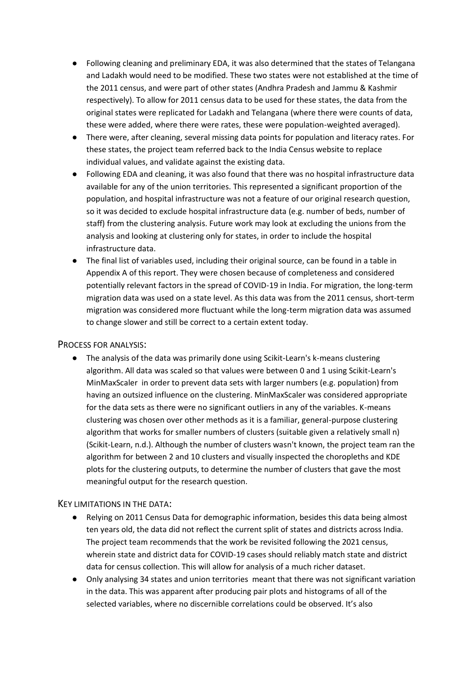- Following cleaning and preliminary EDA, it was also determined that the states of Telangana and Ladakh would need to be modified. These two states were not established at the time of the 2011 census, and were part of other states (Andhra Pradesh and Jammu & Kashmir respectively). To allow for 2011 census data to be used for these states, the data from the original states were replicated for Ladakh and Telangana (where there were counts of data, these were added, where there were rates, these were population-weighted averaged).
- There were, after cleaning, several missing data points for population and literacy rates. For these states, the project team referred back to the India Census website to replace individual values, and validate against the existing data.
- Following EDA and cleaning, it was also found that there was no hospital infrastructure data available for any of the union territories. This represented a significant proportion of the population, and hospital infrastructure was not a feature of our original research question, so it was decided to exclude hospital infrastructure data (e.g. number of beds, number of staff) from the clustering analysis. Future work may look at excluding the unions from the analysis and looking at clustering only for states, in order to include the hospital infrastructure data.
- The final list of variables used, including their original source, can be found in a table in Appendix A of this report. They were chosen because of completeness and considered potentially relevant factors in the spread of COVID-19 in India. For migration, the long-term migration data was used on a state level. As this data was from the 2011 census, short-term migration was considered more fluctuant while the long-term migration data was assumed to change slower and still be correct to a certain extent today.

#### PROCESS FOR ANALYSIS:

● The analysis of the data was primarily done using Scikit-Learn's k-means clustering algorithm. All data was scaled so that values were between 0 and 1 using Scikit-Learn's MinMaxScaler in order to prevent data sets with larger numbers (e.g. population) from having an outsized influence on the clustering. MinMaxScaler was considered appropriate for the data sets as there were no significant outliers in any of the variables. K-means clustering was chosen over other methods as it is a familiar, general-purpose clustering algorithm that works for smaller numbers of clusters (suitable given a relatively small n) (Scikit-Learn, n.d.). Although the number of clusters wasn't known, the project team ran the algorithm for between 2 and 10 clusters and visually inspected the choropleths and KDE plots for the clustering outputs, to determine the number of clusters that gave the most meaningful output for the research question.

#### KEY LIMITATIONS IN THE DATA:

- Relying on 2011 Census Data for demographic information, besides this data being almost ten years old, the data did not reflect the current split of states and districts across India. The project team recommends that the work be revisited following the 2021 census, wherein state and district data for COVID-19 cases should reliably match state and district data for census collection. This will allow for analysis of a much richer dataset.
- Only analysing 34 states and union territories meant that there was not significant variation in the data. This was apparent after producing pair plots and histograms of all of the selected variables, where no discernible correlations could be observed. It's also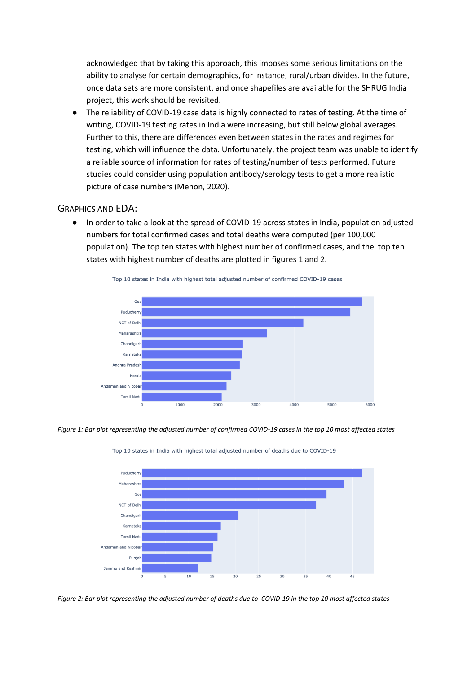acknowledged that by taking this approach, this imposes some serious limitations on the ability to analyse for certain demographics, for instance, rural/urban divides. In the future, once data sets are more consistent, and once shapefiles are available for the SHRUG India project, this work should be revisited.

● The reliability of COVID-19 case data is highly connected to rates of testing. At the time of writing, COVID-19 testing rates in India were increasing, but still below global averages. Further to this, there are differences even between states in the rates and regimes for testing, which will influence the data. Unfortunately, the project team was unable to identify a reliable source of information for rates of testing/number of tests performed. Future studies could consider using population antibody/serology tests to get a more realistic picture of case numbers (Menon, 2020).

#### GRAPHICS AND EDA:

● In order to take a look at the spread of COVID-19 across states in India, population adjusted numbers for total confirmed cases and total deaths were computed (per 100,000 population). The top ten states with highest number of confirmed cases, and the top ten states with highest number of deaths are plotted in figures 1 and 2.



Top 10 states in India with highest total adjusted number of confirmed COVID-19 cases

*Figure 1: Bar plot representing the adjusted number of confirmed COVID-19 cases in the top 10 most affected states*



Top 10 states in India with highest total adjusted number of deaths due to COVID-19

*Figure 2: Bar plot representing the adjusted number of deaths due to COVID-19 in the top 10 most affected states*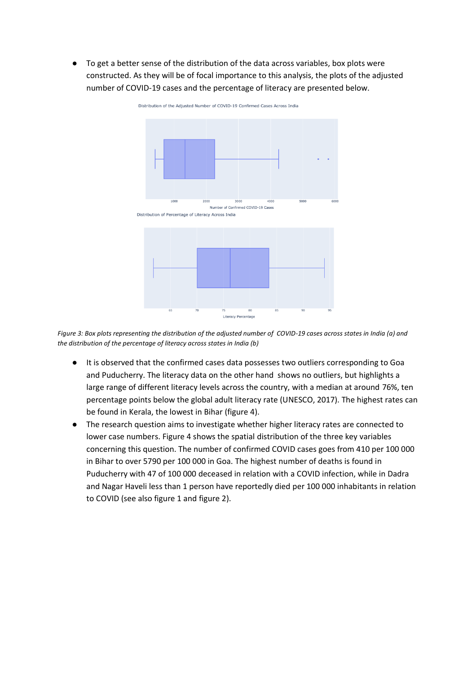● To get a better sense of the distribution of the data across variables, box plots were constructed. As they will be of focal importance to this analysis, the plots of the adjusted number of COVID-19 cases and the percentage of literacy are presented below.



Distribution of the Adjusted Number of COVID-19 Confirmed Cases Across India

*Figure 3: Box plots representing the distribution of the adjusted number of COVID-19 cases across states in India (a) and the distribution of the percentage of literacy across states in India (b)*

- It is observed that the confirmed cases data possesses two outliers corresponding to Goa and Puducherry. The literacy data on the other hand shows no outliers, but highlights a large range of different literacy levels across the country, with a median at around 76%, ten percentage points below the global adult literacy rate (UNESCO, 2017). The highest rates can be found in Kerala, the lowest in Bihar (figure 4).
- The research question aims to investigate whether higher literacy rates are connected to lower case numbers. Figure 4 shows the spatial distribution of the three key variables concerning this question. The number of confirmed COVID cases goes from 410 per 100 000 in Bihar to over 5790 per 100 000 in Goa. The highest number of deaths is found in Puducherry with 47 of 100 000 deceased in relation with a COVID infection, while in Dadra and Nagar Haveli less than 1 person have reportedly died per 100 000 inhabitants in relation to COVID (see also figure 1 and figure 2).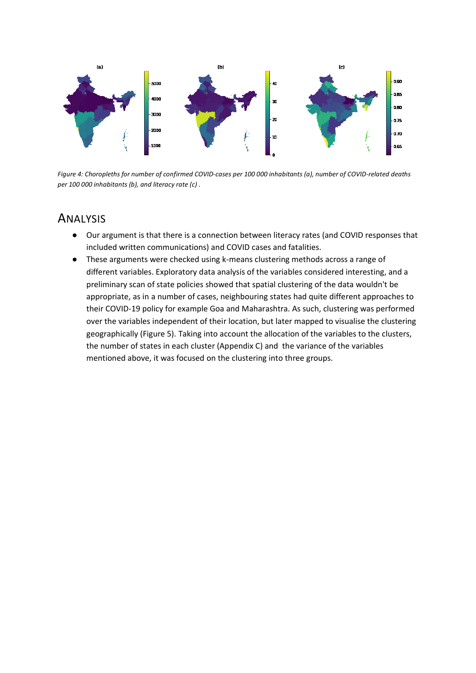

*Figure 4: Choropleths for number of confirmed COVID-cases per 100 000 inhabitants (a), number of COVID-related deaths per 100 000 inhabitants (b), and literacy rate (c) .*

### ANALYSIS

- Our argument is that there is a connection between literacy rates (and COVID responses that included written communications) and COVID cases and fatalities.
- These arguments were checked using k-means clustering methods across a range of different variables. Exploratory data analysis of the variables considered interesting, and a preliminary scan of state policies showed that spatial clustering of the data wouldn't be appropriate, as in a number of cases, neighbouring states had quite different approaches to their COVID-19 policy for example Goa and Maharashtra. As such, clustering was performed over the variables independent of their location, but later mapped to visualise the clustering geographically (Figure 5). Taking into account the allocation of the variables to the clusters, the number of states in each cluster (Appendix C) and the variance of the variables mentioned above, it was focused on the clustering into three groups.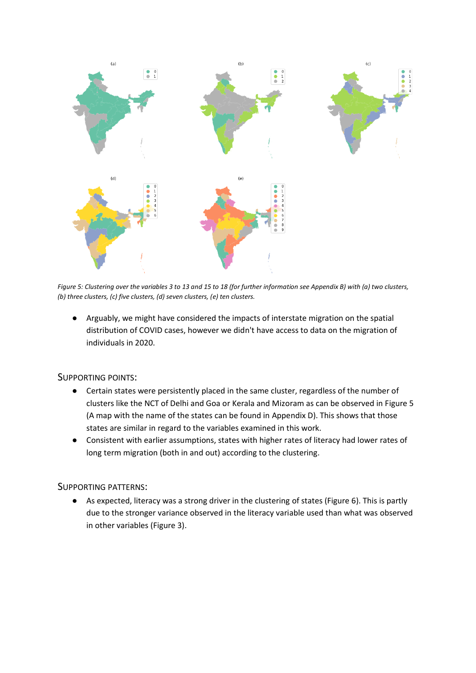

*Figure 5: Clustering over the variables 3 to 13 and 15 to 18 (for further information see Appendix B) with (a) two clusters, (b) three clusters, (c) five clusters, (d) seven clusters, (e) ten clusters.* 

● Arguably, we might have considered the impacts of interstate migration on the spatial distribution of COVID cases, however we didn't have access to data on the migration of individuals in 2020.

#### SUPPORTING POINTS:

- Certain states were persistently placed in the same cluster, regardless of the number of clusters like the NCT of Delhi and Goa or Kerala and Mizoram as can be observed in Figure 5 (A map with the name of the states can be found in Appendix D). This shows that those states are similar in regard to the variables examined in this work.
- Consistent with earlier assumptions, states with higher rates of literacy had lower rates of long term migration (both in and out) according to the clustering.

#### SUPPORTING PATTERNS:

● As expected, literacy was a strong driver in the clustering of states (Figure 6). This is partly due to the stronger variance observed in the literacy variable used than what was observed in other variables (Figure 3).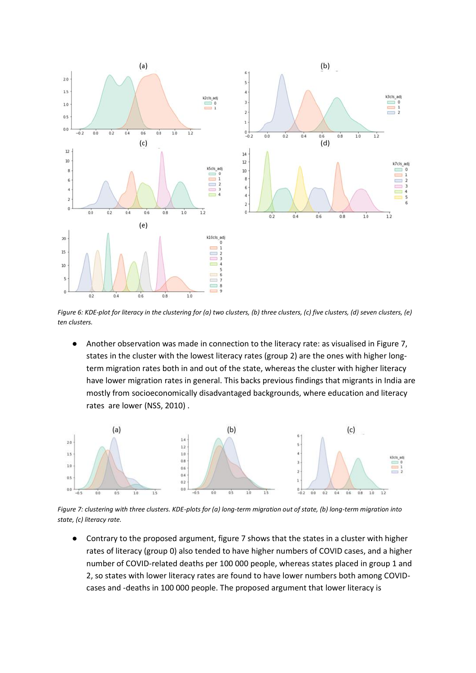

*Figure 6: KDE-plot for literacy in the clustering for (a) two clusters, (b) three clusters, (c) five clusters, (d) seven clusters, (e) ten clusters.* 

● Another observation was made in connection to the literacy rate: as visualised in Figure 7, states in the cluster with the lowest literacy rates (group 2) are the ones with higher longterm migration rates both in and out of the state, whereas the cluster with higher literacy have lower migration rates in general. This backs previous findings that migrants in India are mostly from socioeconomically disadvantaged backgrounds, where education and literacy rates are lower (NSS, 2010) .



*Figure 7: clustering with three clusters. KDE-plots for (a) long-term migration out of state, (b) long-term migration into state, (c) literacy rate.*

● Contrary to the proposed argument, figure 7 shows that the states in a cluster with higher rates of literacy (group 0) also tended to have higher numbers of COVID cases, and a higher number of COVID-related deaths per 100 000 people, whereas states placed in group 1 and 2, so states with lower literacy rates are found to have lower numbers both among COVIDcases and -deaths in 100 000 people. The proposed argument that lower literacy is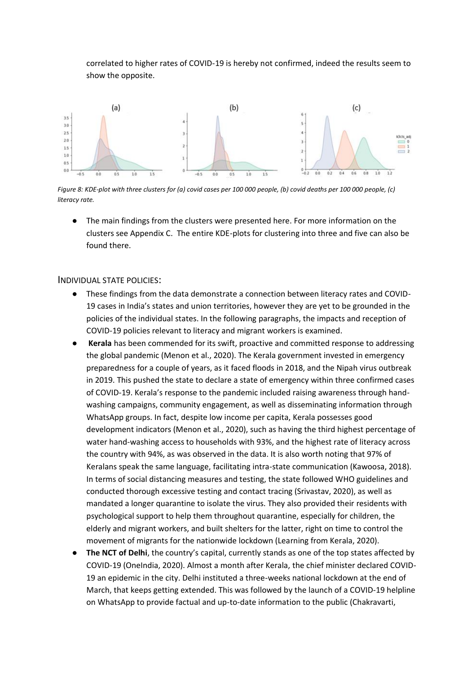correlated to higher rates of COVID-19 is hereby not confirmed, indeed the results seem to show the opposite.



*Figure 8: KDE-plot with three clusters for (a) covid cases per 100 000 people, (b) covid deaths per 100 000 people, (c) literacy rate.*

● The main findings from the clusters were presented here. For more information on the clusters see Appendix C. The entire KDE-plots for clustering into three and five can also be found there.

#### INDIVIDUAL STATE POLICIES:

- These findings from the data demonstrate a connection between literacy rates and COVID-19 cases in India's states and union territories, however they are yet to be grounded in the policies of the individual states. In the following paragraphs, the impacts and reception of COVID-19 policies relevant to literacy and migrant workers is examined.
- **Kerala** has been commended for its swift, proactive and committed response to addressing the global pandemic (Menon et al., 2020). The Kerala government invested in emergency preparedness for a couple of years, as it faced floods in 2018, and the Nipah virus outbreak in 2019. This pushed the state to declare a state of emergency within three confirmed cases of COVID-19. Kerala's response to the pandemic included raising awareness through handwashing campaigns, community engagement, as well as disseminating information through WhatsApp groups. In fact, despite low income per capita, Kerala possesses good development indicators (Menon et al., 2020), such as having the third highest percentage of water hand-washing access to households with 93%, and the highest rate of literacy across the country with 94%, as was observed in the data. It is also worth noting that 97% of Keralans speak the same language, facilitating intra-state communication (Kawoosa, 2018). In terms of social distancing measures and testing, the state followed WHO guidelines and conducted thorough excessive testing and contact tracing (Srivastav, 2020), as well as mandated a longer quarantine to isolate the virus. They also provided their residents with psychological support to help them throughout quarantine, especially for children, the elderly and migrant workers, and built shelters for the latter, right on time to control the movement of migrants for the nationwide lockdown (Learning from Kerala, 2020).
- **The NCT of Delhi**, the country's capital, currently stands as one of the top states affected by COVID-19 (OneIndia, 2020). Almost a month after Kerala, the chief minister declared COVID-19 an epidemic in the city. Delhi instituted a three-weeks national lockdown at the end of March, that keeps getting extended. This was followed by the launch of a COVID-19 helpline on WhatsApp to provide factual and up-to-date information to the public (Chakravarti,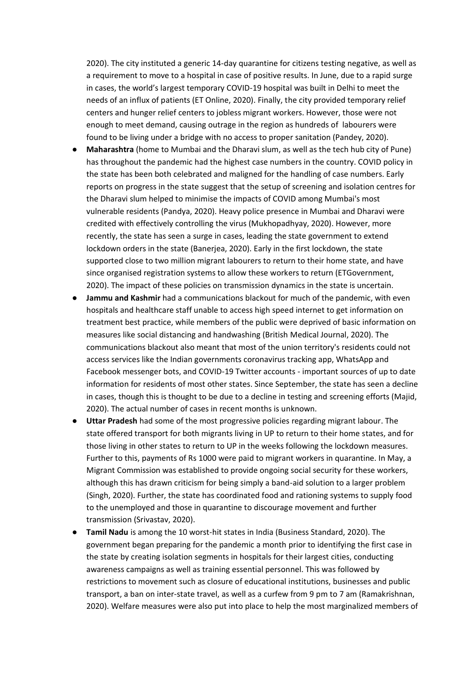2020). The city instituted a generic 14-day quarantine for citizens testing negative, as well as a requirement to move to a hospital in case of positive results. In June, due to a rapid surge in cases, the world's largest temporary COVID-19 hospital was built in Delhi to meet the needs of an influx of patients (ET Online, 2020). Finally, the city provided temporary relief centers and hunger relief centers to jobless migrant workers. However, those were not enough to meet demand, causing outrage in the region as hundreds of labourers were found to be living under a bridge with no access to proper sanitation (Pandey, 2020).

- **Maharashtra** (home to Mumbai and the Dharavi slum, as well as the tech hub city of Pune) has throughout the pandemic had the highest case numbers in the country. COVID policy in the state has been both celebrated and maligned for the handling of case numbers. Early reports on progress in the state suggest that the setup of screening and isolation centres for the Dharavi slum helped to minimise the impacts of COVID among Mumbai's most vulnerable residents (Pandya, 2020). Heavy police presence in Mumbai and Dharavi were credited with effectively controlling the virus (Mukhopadhyay, 2020). However, more recently, the state has seen a surge in cases, leading the state government to extend lockdown orders in the state (Banerjea, 2020). Early in the first lockdown, the state supported close to two million migrant labourers to return to their home state, and have since organised registration systems to allow these workers to return (ETGovernment, 2020). The impact of these policies on transmission dynamics in the state is uncertain.
- **Jammu and Kashmir** had a communications blackout for much of the pandemic, with even hospitals and healthcare staff unable to access high speed internet to get information on treatment best practice, while members of the public were deprived of basic information on measures like social distancing and handwashing (British Medical Journal, 2020). The communications blackout also meant that most of the union territory's residents could not access services like the Indian governments coronavirus tracking app, WhatsApp and Facebook messenger bots, and COVID-19 Twitter accounts - important sources of up to date information for residents of most other states. Since September, the state has seen a decline in cases, though this is thought to be due to a decline in testing and screening efforts (Majid, 2020). The actual number of cases in recent months is unknown.
- **Uttar Pradesh** had some of the most progressive policies regarding migrant labour. The state offered transport for both migrants living in UP to return to their home states, and for those living in other states to return to UP in the weeks following the lockdown measures. Further to this, payments of Rs 1000 were paid to migrant workers in quarantine. In May, a Migrant Commission was established to provide ongoing social security for these workers, although this has drawn criticism for being simply a band-aid solution to a larger problem (Singh, 2020). Further, the state has coordinated food and rationing systems to supply food to the unemployed and those in quarantine to discourage movement and further transmission (Srivastav, 2020).
- **Tamil Nadu** is among the 10 worst-hit states in India (Business Standard, 2020). The government began preparing for the pandemic a month prior to identifying the first case in the state by creating isolation segments in hospitals for their largest cities, conducting awareness campaigns as well as training essential personnel. This was followed by restrictions to movement such as closure of educational institutions, businesses and public transport, a ban on inter-state travel, as well as a curfew from 9 pm to 7 am (Ramakrishnan, 2020). Welfare measures were also put into place to help the most marginalized members of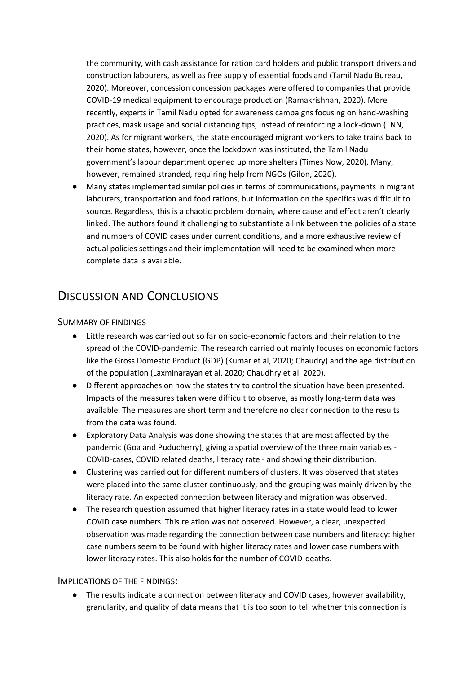the community, with cash assistance for ration card holders and public transport drivers and construction labourers, as well as free supply of essential foods and (Tamil Nadu Bureau, 2020). Moreover, concession concession packages were offered to companies that provide COVID-19 medical equipment to encourage production (Ramakrishnan, 2020). More recently, experts in Tamil Nadu opted for awareness campaigns focusing on hand-washing practices, mask usage and social distancing tips, instead of reinforcing a lock-down (TNN, 2020). As for migrant workers, the state encouraged migrant workers to take trains back to their home states, however, once the lockdown was instituted, the Tamil Nadu government's labour department opened up more shelters (Times Now, 2020). Many, however, remained stranded, requiring help from NGOs (Gilon, 2020).

Many states implemented similar policies in terms of communications, payments in migrant labourers, transportation and food rations, but information on the specifics was difficult to source. Regardless, this is a chaotic problem domain, where cause and effect aren't clearly linked. The authors found it challenging to substantiate a link between the policies of a state and numbers of COVID cases under current conditions, and a more exhaustive review of actual policies settings and their implementation will need to be examined when more complete data is available.

### DISCUSSION AND CONCLUSIONS

#### SUMMARY OF FINDINGS

- Little research was carried out so far on socio-economic factors and their relation to the spread of the COVID-pandemic. The research carried out mainly focuses on economic factors like the Gross Domestic Product (GDP) (Kumar et al, 2020; Chaudry) and the age distribution of the population (Laxminarayan et al. 2020; Chaudhry et al. 2020).
- Different approaches on how the states try to control the situation have been presented. Impacts of the measures taken were difficult to observe, as mostly long-term data was available. The measures are short term and therefore no clear connection to the results from the data was found.
- Exploratory Data Analysis was done showing the states that are most affected by the pandemic (Goa and Puducherry), giving a spatial overview of the three main variables - COVID-cases, COVID related deaths, literacy rate - and showing their distribution.
- Clustering was carried out for different numbers of clusters. It was observed that states were placed into the same cluster continuously, and the grouping was mainly driven by the literacy rate. An expected connection between literacy and migration was observed.
- The research question assumed that higher literacy rates in a state would lead to lower COVID case numbers. This relation was not observed. However, a clear, unexpected observation was made regarding the connection between case numbers and literacy: higher case numbers seem to be found with higher literacy rates and lower case numbers with lower literacy rates. This also holds for the number of COVID-deaths.

#### IMPLICATIONS OF THE FINDINGS:

● The results indicate a connection between literacy and COVID cases, however availability, granularity, and quality of data means that it is too soon to tell whether this connection is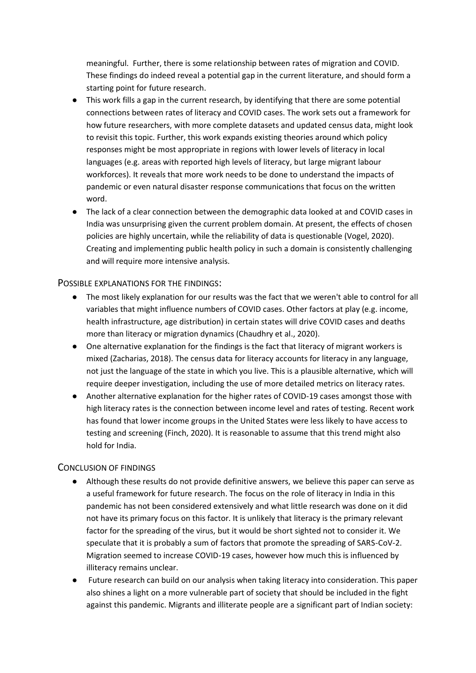meaningful. Further, there is some relationship between rates of migration and COVID. These findings do indeed reveal a potential gap in the current literature, and should form a starting point for future research.

- This work fills a gap in the current research, by identifying that there are some potential connections between rates of literacy and COVID cases. The work sets out a framework for how future researchers, with more complete datasets and updated census data, might look to revisit this topic. Further, this work expands existing theories around which policy responses might be most appropriate in regions with lower levels of literacy in local languages (e.g. areas with reported high levels of literacy, but large migrant labour workforces). It reveals that more work needs to be done to understand the impacts of pandemic or even natural disaster response communications that focus on the written word.
- The lack of a clear connection between the demographic data looked at and COVID cases in India was unsurprising given the current problem domain. At present, the effects of chosen policies are highly uncertain, while the reliability of data is questionable (Vogel, 2020). Creating and implementing public health policy in such a domain is consistently challenging and will require more intensive analysis.

#### POSSIBLE EXPLANATIONS FOR THE FINDINGS:

- The most likely explanation for our results was the fact that we weren't able to control for all variables that might influence numbers of COVID cases. Other factors at play (e.g. income, health infrastructure, age distribution) in certain states will drive COVID cases and deaths more than literacy or migration dynamics (Chaudhry et al., 2020).
- One alternative explanation for the findings is the fact that literacy of migrant workers is mixed (Zacharias, 2018). The census data for literacy accounts for literacy in any language, not just the language of the state in which you live. This is a plausible alternative, which will require deeper investigation, including the use of more detailed metrics on literacy rates.
- Another alternative explanation for the higher rates of COVID-19 cases amongst those with high literacy rates is the connection between income level and rates of testing. Recent work has found that lower income groups in the United States were less likely to have access to testing and screening (Finch, 2020). It is reasonable to assume that this trend might also hold for India.

#### CONCLUSION OF FINDINGS

- Although these results do not provide definitive answers, we believe this paper can serve as a useful framework for future research. The focus on the role of literacy in India in this pandemic has not been considered extensively and what little research was done on it did not have its primary focus on this factor. It is unlikely that literacy is the primary relevant factor for the spreading of the virus, but it would be short sighted not to consider it. We speculate that it is probably a sum of factors that promote the spreading of SARS-CoV-2. Migration seemed to increase COVID-19 cases, however how much this is influenced by illiteracy remains unclear.
- Future research can build on our analysis when taking literacy into consideration. This paper also shines a light on a more vulnerable part of society that should be included in the fight against this pandemic. Migrants and illiterate people are a significant part of Indian society: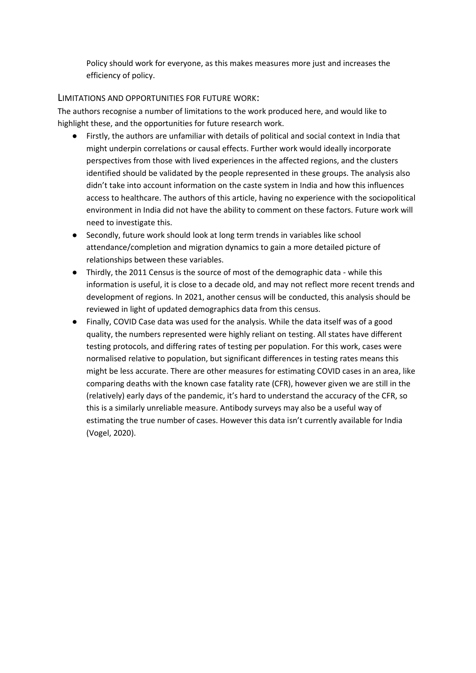Policy should work for everyone, as this makes measures more just and increases the efficiency of policy.

#### LIMITATIONS AND OPPORTUNITIES FOR FUTURE WORK:

The authors recognise a number of limitations to the work produced here, and would like to highlight these, and the opportunities for future research work.

- Firstly, the authors are unfamiliar with details of political and social context in India that might underpin correlations or causal effects. Further work would ideally incorporate perspectives from those with lived experiences in the affected regions, and the clusters identified should be validated by the people represented in these groups. The analysis also didn't take into account information on the caste system in India and how this influences access to healthcare. The authors of this article, having no experience with the sociopolitical environment in India did not have the ability to comment on these factors. Future work will need to investigate this.
- Secondly, future work should look at long term trends in variables like school attendance/completion and migration dynamics to gain a more detailed picture of relationships between these variables.
- Thirdly, the 2011 Census is the source of most of the demographic data while this information is useful, it is close to a decade old, and may not reflect more recent trends and development of regions. In 2021, another census will be conducted, this analysis should be reviewed in light of updated demographics data from this census.
- Finally, COVID Case data was used for the analysis. While the data itself was of a good quality, the numbers represented were highly reliant on testing. All states have different testing protocols, and differing rates of testing per population. For this work, cases were normalised relative to population, but significant differences in testing rates means this might be less accurate. There are other measures for estimating COVID cases in an area, like comparing deaths with the known case fatality rate (CFR), however given we are still in the (relatively) early days of the pandemic, it's hard to understand the accuracy of the CFR, so this is a similarly unreliable measure. Antibody surveys may also be a useful way of estimating the true number of cases. However this data isn't currently available for India (Vogel, 2020).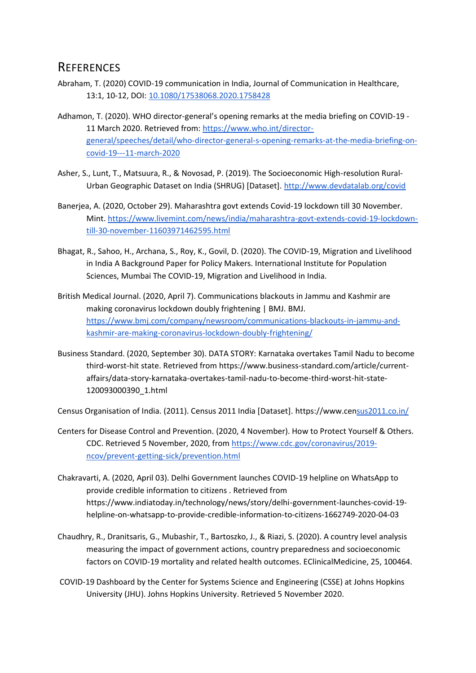### **REFERENCES**

- Abraham, T. (2020) COVID-19 communication in India, Journal of Communication in Healthcare, 13:1, 10-12, DOI: [10.1080/17538068.2020.1758428](https://doi.org/10.1080/17538068.2020.1758428)
- Adhamon, T. (2020). WHO director-general's opening remarks at the media briefing on COVID-19 11 March 2020. Retrieved from: [https://www.who.int/director](https://www.who.int/director-general/speeches/detail/who-director-general-s-opening-remarks-at-the-media-briefing-on-covid-19---11-march-2020)[general/speeches/detail/who-director-general-s-opening-remarks-at-the-media-briefing-on](https://www.who.int/director-general/speeches/detail/who-director-general-s-opening-remarks-at-the-media-briefing-on-covid-19---11-march-2020)[covid-19---11-march-2020](https://www.who.int/director-general/speeches/detail/who-director-general-s-opening-remarks-at-the-media-briefing-on-covid-19---11-march-2020)
- Asher, S., Lunt, T., Matsuura, R., & Novosad, P. (2019). The Socioeconomic High-resolution Rural-Urban Geographic Dataset on India (SHRUG) [Dataset].<http://www.devdatalab.org/covid>
- Banerjea, A. (2020, October 29). Maharashtra govt extends Covid-19 lockdown till 30 November. Mint[. https://www.livemint.com/news/india/maharashtra-govt-extends-covid-19-lockdown](https://www.livemint.com/news/india/maharashtra-govt-extends-covid-19-lockdown-till-30-november-11603971462595.html)[till-30-november-11603971462595.html](https://www.livemint.com/news/india/maharashtra-govt-extends-covid-19-lockdown-till-30-november-11603971462595.html)
- Bhagat, R., Sahoo, H., Archana, S., Roy, K., Govil, D. (2020). The COVID-19, Migration and Livelihood in India A Background Paper for Policy Makers. International Institute for Population Sciences, Mumbai The COVID-19, Migration and Livelihood in India.
- British Medical Journal. (2020, April 7). Communications blackouts in Jammu and Kashmir are making coronavirus lockdown doubly frightening | BMJ. BMJ. [https://www.bmj.com/company/newsroom/communications-blackouts-in-jammu-and](https://www.bmj.com/company/newsroom/communications-blackouts-in-jammu-and-kashmir-are-making-coronavirus-lockdown-doubly-frightening/)[kashmir-are-making-coronavirus-lockdown-doubly-frightening/](https://www.bmj.com/company/newsroom/communications-blackouts-in-jammu-and-kashmir-are-making-coronavirus-lockdown-doubly-frightening/)
- Business Standard. (2020, September 30). DATA STORY: Karnataka overtakes Tamil Nadu to become third-worst-hit state. Retrieved from [https://www.business-standard.com/article/current](https://www.business-standard.com/article/current-affairs/data-story-karnataka-overtakes-tamil-nadu-to-become-third-worst-hit-state-120093000390_1.html)[affairs/data-story-karnataka-overtakes-tamil-nadu-to-become-third-worst-hit-state-](https://www.business-standard.com/article/current-affairs/data-story-karnataka-overtakes-tamil-nadu-to-become-third-worst-hit-state-120093000390_1.html)[120093000390\\_1.html](https://www.business-standard.com/article/current-affairs/data-story-karnataka-overtakes-tamil-nadu-to-become-third-worst-hit-state-120093000390_1.html)

Census Organisation of India. (2011). Census 2011 India [Dataset].<https://www.census2011.co.in/>

- Centers for Disease Control and Prevention. (2020, 4 November). How to Protect Yourself & Others. CDC. Retrieved 5 November, 2020, fro[m https://www.cdc.gov/coronavirus/2019](https://www.cdc.gov/coronavirus/2019-ncov/prevent-getting-sick/prevention.html) [ncov/prevent-getting-sick/prevention.html](https://www.cdc.gov/coronavirus/2019-ncov/prevent-getting-sick/prevention.html)
- Chakravarti, A. (2020, April 03). Delhi Government launches COVID-19 helpline on WhatsApp to provide credible information to citizens . Retrieved from [https://www.indiatoday.in/technology/news/story/delhi-government-launches-covid-19](https://www.indiatoday.in/technology/news/story/delhi-government-launches-covid-19-helpline-on-whatsapp-to-provide-credible-information-to-citizens-1662749-2020-04-03) [helpline-on-whatsapp-to-provide-credible-information-to-citizens-1662749-2020-04-03](https://www.indiatoday.in/technology/news/story/delhi-government-launches-covid-19-helpline-on-whatsapp-to-provide-credible-information-to-citizens-1662749-2020-04-03)
- Chaudhry, R., Dranitsaris, G., Mubashir, T., Bartoszko, J., & Riazi, S. (2020). A country level analysis measuring the impact of government actions, country preparedness and socioeconomic factors on COVID-19 mortality and related health outcomes. EClinicalMedicine, 25, 100464.
- [COVID-19 Dashboard by the Center for Systems Science and Engineering \(CSSE\) at Johns Hopkins](https://gisanddata.maps.arcgis.com/apps/opsdashboard/index.html#/bda7594740fd40299423467b48e9ecf6)  [University \(JHU\).](https://gisanddata.maps.arcgis.com/apps/opsdashboard/index.html#/bda7594740fd40299423467b48e9ecf6) [Johns Hopkins University.](https://en.wikipedia.org/wiki/Johns_Hopkins_University) Retrieved 5 November 2020.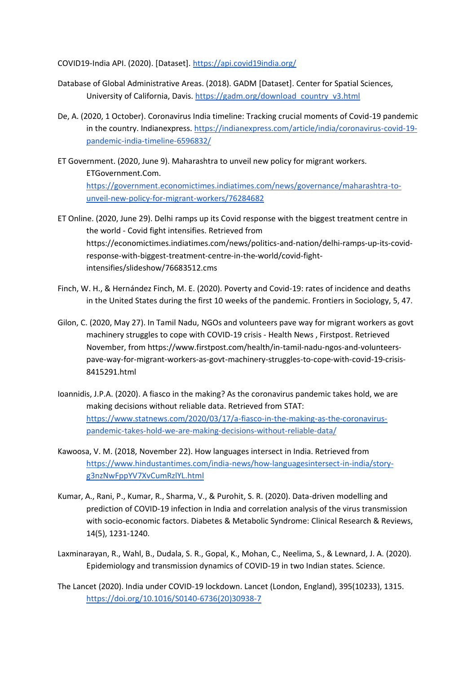COVID19-India API. (2020). [Dataset].<https://api.covid19india.org/>

- Database of Global Administrative Areas. (2018). GADM [Dataset]. Center for Spatial Sciences, University of California, Davis. [https://gadm.org/download\\_country\\_v3.html](https://gadm.org/download_country_v3.html)
- De, A. (2020, 1 October). Coronavirus India timeline: Tracking crucial moments of Covid-19 pandemic in the country. Indianexpress. [https://indianexpress.com/article/india/coronavirus-covid-19](https://indianexpress.com/article/india/coronavirus-covid-19-pandemic-india-timeline-6596832/) [pandemic-india-timeline-6596832/](https://indianexpress.com/article/india/coronavirus-covid-19-pandemic-india-timeline-6596832/)
- ET Government. (2020, June 9). Maharashtra to unveil new policy for migrant workers. ETGovernment.Com. [https://government.economictimes.indiatimes.com/news/governance/maharashtra-to](https://government.economictimes.indiatimes.com/news/governance/maharashtra-to-unveil-new-policy-for-migrant-workers/76284682)[unveil-new-policy-for-migrant-workers/76284682](https://government.economictimes.indiatimes.com/news/governance/maharashtra-to-unveil-new-policy-for-migrant-workers/76284682)
- ET Online. (2020, June 29). Delhi ramps up its Covid response with the biggest treatment centre in the world - Covid fight intensifies. Retrieved from [https://economictimes.indiatimes.com/news/politics-and-nation/delhi-ramps-up-its-covid](https://economictimes.indiatimes.com/news/politics-and-nation/delhi-ramps-up-its-covid-response-with-biggest-treatment-centre-in-the-world/covid-fight-intensifies/slideshow/76683512.cms)[response-with-biggest-treatment-centre-in-the-world/covid-fight](https://economictimes.indiatimes.com/news/politics-and-nation/delhi-ramps-up-its-covid-response-with-biggest-treatment-centre-in-the-world/covid-fight-intensifies/slideshow/76683512.cms)[intensifies/slideshow/76683512.cms](https://economictimes.indiatimes.com/news/politics-and-nation/delhi-ramps-up-its-covid-response-with-biggest-treatment-centre-in-the-world/covid-fight-intensifies/slideshow/76683512.cms)
- Finch, W. H., & Hernández Finch, M. E. (2020). Poverty and Covid-19: rates of incidence and deaths in the United States during the first 10 weeks of the pandemic. Frontiers in Sociology, 5, 47.
- Gilon, C. (2020, May 27). In Tamil Nadu, NGOs and volunteers pave way for migrant workers as govt machinery struggles to cope with COVID-19 crisis - Health News , Firstpost. Retrieved November, fro[m https://www.firstpost.com/health/in-tamil-nadu-ngos-and-volunteers](https://www.firstpost.com/health/in-tamil-nadu-ngos-and-volunteers-pave-way-for-migrant-workers-as-govt-machinery-struggles-to-cope-with-covid-19-crisis-8415291.html)[pave-way-for-migrant-workers-as-govt-machinery-struggles-to-cope-with-covid-19-crisis-](https://www.firstpost.com/health/in-tamil-nadu-ngos-and-volunteers-pave-way-for-migrant-workers-as-govt-machinery-struggles-to-cope-with-covid-19-crisis-8415291.html)[8415291.html](https://www.firstpost.com/health/in-tamil-nadu-ngos-and-volunteers-pave-way-for-migrant-workers-as-govt-machinery-struggles-to-cope-with-covid-19-crisis-8415291.html)
- Ioannidis, J.P.A. (2020). A fiasco in the making? As the coronavirus pandemic takes hold, we are making decisions without reliable data. Retrieved from STAT: [https://www.statnews.com/2020/03/17/a-fiasco-in-the-making-as-the-coronavirus](https://www.statnews.com/2020/03/17/a-fiasco-in-the-making-as-the-coronavirus-pandemic-takes-hold-we-are-making-decisions-without-reliable-data/)[pandemic-takes-hold-we-are-making-decisions-without-reliable-data/](https://www.statnews.com/2020/03/17/a-fiasco-in-the-making-as-the-coronavirus-pandemic-takes-hold-we-are-making-decisions-without-reliable-data/)
- Kawoosa, V. M. (2018, November 22). How languages intersect in India. Retrieved from [https://www.hindustantimes.com/india-news/how-languagesintersect-in-india/story](https://www.hindustantimes.com/india-news/how-languagesintersect-in-india/story-g3nzNwFppYV7XvCumRzlYL.html)[g3nzNwFppYV7XvCumRzlYL.html](https://www.hindustantimes.com/india-news/how-languagesintersect-in-india/story-g3nzNwFppYV7XvCumRzlYL.html)
- Kumar, A., Rani, P., Kumar, R., Sharma, V., & Purohit, S. R. (2020). Data-driven modelling and prediction of COVID-19 infection in India and correlation analysis of the virus transmission with socio-economic factors. Diabetes & Metabolic Syndrome: Clinical Research & Reviews, 14(5), 1231-1240.
- Laxminarayan, R., Wahl, B., Dudala, S. R., Gopal, K., Mohan, C., Neelima, S., & Lewnard, J. A. (2020). Epidemiology and transmission dynamics of COVID-19 in two Indian states. Science.
- The Lancet (2020). India under COVID-19 lockdown. Lancet (London, England), 395(10233), 1315. [https://doi.org/10.1016/S0140-6736\(20\)30938-7](https://doi.org/10.1016/S0140-6736(20)30938-7)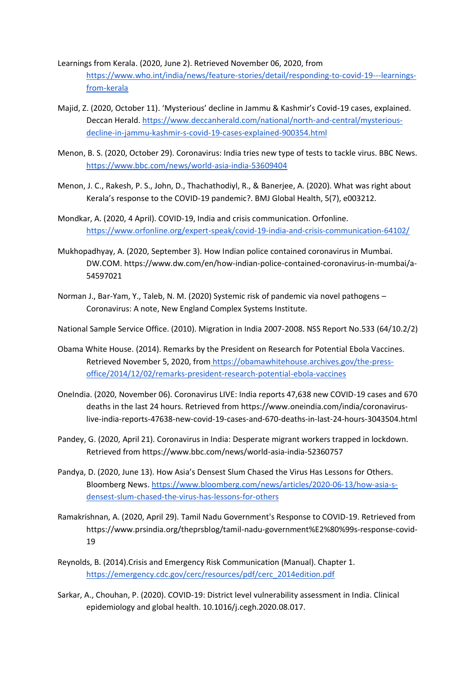Learnings from Kerala. (2020, June 2). Retrieved November 06, 2020, from [https://www.who.int/india/news/feature-stories/detail/responding-to-covid-19---learnings](https://www.who.int/india/news/feature-stories/detail/responding-to-covid-19---learnings-from-kerala)[from-kerala](https://www.who.int/india/news/feature-stories/detail/responding-to-covid-19---learnings-from-kerala)

- Majid, Z. (2020, October 11). 'Mysterious' decline in Jammu & Kashmir's Covid-19 cases, explained. Deccan Herald. [https://www.deccanherald.com/national/north-and-central/mysterious](https://www.deccanherald.com/national/north-and-central/mysterious-decline-in-jammu-kashmir-s-covid-19-cases-explained-900354.html)[decline-in-jammu-kashmir-s-covid-19-cases-explained-900354.html](https://www.deccanherald.com/national/north-and-central/mysterious-decline-in-jammu-kashmir-s-covid-19-cases-explained-900354.html)
- Menon, B. S. (2020, October 29). Coronavirus: India tries new type of tests to tackle virus. BBC News. <https://www.bbc.com/news/world-asia-india-53609404>
- Menon, J. C., Rakesh, P. S., John, D., Thachathodiyl, R., & Banerjee, A. (2020). What was right about Kerala's response to the COVID-19 pandemic?. BMJ Global Health, 5(7), e003212.
- Mondkar, A. (2020, 4 April). COVID-19, India and crisis communication. Orfonline. <https://www.orfonline.org/expert-speak/covid-19-india-and-crisis-communication-64102/>
- Mukhopadhyay, A. (2020, September 3). How Indian police contained coronavirus in Mumbai. DW.COM. https://www.dw.com/en/how-indian-police-contained-coronavirus-in-mumbai/a-54597021
- Norman J., Bar-Yam, Y., Taleb, N. M. (2020) Systemic risk of pandemic via novel pathogens Coronavirus: A note, New England Complex Systems Institute.

National Sample Service Office. (2010). Migration in India 2007-2008. NSS Report No.533 (64/10.2/2)

- Obama White House. (2014). Remarks by the President on Research for Potential Ebola Vaccines. Retrieved November 5, 2020, from [https://obamawhitehouse.archives.gov/the-press](https://obamawhitehouse.archives.gov/the-press-office/2014/12/02/remarks-president-research-potential-ebola-vaccines)[office/2014/12/02/remarks-president-research-potential-ebola-vaccines](https://obamawhitehouse.archives.gov/the-press-office/2014/12/02/remarks-president-research-potential-ebola-vaccines)
- OneIndia. (2020, November 06). Coronavirus LIVE: India reports 47,638 new COVID-19 cases and 670 deaths in the last 24 hours. Retrieved from [https://www.oneindia.com/india/coronavirus](https://www.oneindia.com/india/coronavirus-live-india-reports-47638-new-covid-19-cases-and-670-deaths-in-last-24-hours-3043504.html)[live-india-reports-47638-new-covid-19-cases-and-670-deaths-in-last-24-hours-3043504.html](https://www.oneindia.com/india/coronavirus-live-india-reports-47638-new-covid-19-cases-and-670-deaths-in-last-24-hours-3043504.html)
- Pandey, G. (2020, April 21). Coronavirus in India: Desperate migrant workers trapped in lockdown. Retrieved from<https://www.bbc.com/news/world-asia-india-52360757>
- Pandya, D. (2020, June 13). How Asia's Densest Slum Chased the Virus Has Lessons for Others. Bloomberg News[. https://www.bloomberg.com/news/articles/2020-06-13/how-asia-s](https://www.bloomberg.com/news/articles/2020-06-13/how-asia-s-densest-slum-chased-the-virus-has-lessons-for-others)[densest-slum-chased-the-virus-has-lessons-for-others](https://www.bloomberg.com/news/articles/2020-06-13/how-asia-s-densest-slum-chased-the-virus-has-lessons-for-others)
- Ramakrishnan, A. (2020, April 29). Tamil Nadu Government's Response to COVID-19. Retrieved from [https://www.prsindia.org/theprsblog/tamil-nadu-government%E2%80%99s-response-covid-](https://www.prsindia.org/theprsblog/tamil-nadu-government%E2%80%99s-response-covid-19)[19](https://www.prsindia.org/theprsblog/tamil-nadu-government%E2%80%99s-response-covid-19)
- Reynolds, B. (2014).Crisis and Emergency Risk Communication (Manual). Chapter 1[.](https://emergency.cdc.gov/cerc/resources/pdf/cerc_2014edition.pdf) [https://emergency.cdc.gov/cerc/resources/pdf/cerc\\_2014edition.pdf](https://emergency.cdc.gov/cerc/resources/pdf/cerc_2014edition.pdf)
- Sarkar, A., Chouhan, P. (2020). COVID-19: District level vulnerability assessment in India. Clinical epidemiology and global health. 10.1016/j.cegh.2020.08.017.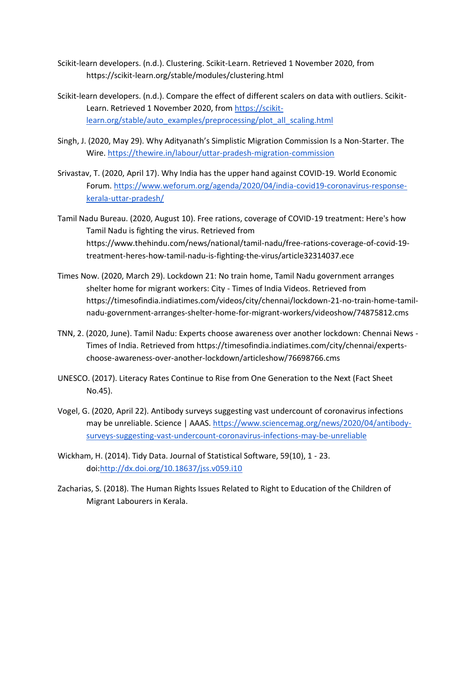- Scikit-learn developers. (n.d.). Clustering. Scikit-Learn. Retrieved 1 November 2020, from https://scikit-learn.org/stable/modules/clustering.html
- Scikit-learn developers. (n.d.). Compare the effect of different scalers on data with outliers. Scikit-Learn. Retrieved 1 November 2020, from [https://scikit](https://scikit-learn.org/stable/auto_examples/preprocessing/plot_all_scaling.html)[learn.org/stable/auto\\_examples/preprocessing/plot\\_all\\_scaling.html](https://scikit-learn.org/stable/auto_examples/preprocessing/plot_all_scaling.html)
- Singh, J. (2020, May 29). Why Adityanath's Simplistic Migration Commission Is a Non-Starter. The Wire.<https://thewire.in/labour/uttar-pradesh-migration-commission>
- Srivastav, T. (2020, April 17). Why India has the upper hand against COVID-19. World Economic Forum. [https://www.weforum.org/agenda/2020/04/india-covid19-coronavirus-response](https://www.weforum.org/agenda/2020/04/india-covid19-coronavirus-response-kerala-uttar-pradesh/)[kerala-uttar-pradesh/](https://www.weforum.org/agenda/2020/04/india-covid19-coronavirus-response-kerala-uttar-pradesh/)
- Tamil Nadu Bureau. (2020, August 10). Free rations, coverage of COVID-19 treatment: Here's how Tamil Nadu is fighting the virus. Retrieved from [https://www.thehindu.com/news/national/tamil-nadu/free-rations-coverage-of-covid-19](https://www.thehindu.com/news/national/tamil-nadu/free-rations-coverage-of-covid-19-treatment-heres-how-tamil-nadu-is-fighting-the-virus/article32314037.ece) [treatment-heres-how-tamil-nadu-is-fighting-the-virus/article32314037.ece](https://www.thehindu.com/news/national/tamil-nadu/free-rations-coverage-of-covid-19-treatment-heres-how-tamil-nadu-is-fighting-the-virus/article32314037.ece)
- Times Now. (2020, March 29). Lockdown 21: No train home, Tamil Nadu government arranges shelter home for migrant workers: City - Times of India Videos. Retrieved from [https://timesofindia.indiatimes.com/videos/city/chennai/lockdown-21-no-train-home-tamil](https://timesofindia.indiatimes.com/videos/city/chennai/lockdown-21-no-train-home-tamil-nadu-government-arranges-shelter-home-for-migrant-workers/videoshow/74875812.cms)[nadu-government-arranges-shelter-home-for-migrant-workers/videoshow/74875812.cms](https://timesofindia.indiatimes.com/videos/city/chennai/lockdown-21-no-train-home-tamil-nadu-government-arranges-shelter-home-for-migrant-workers/videoshow/74875812.cms)
- TNN, 2. (2020, June). Tamil Nadu: Experts choose awareness over another lockdown: Chennai News Times of India. Retrieved from [https://timesofindia.indiatimes.com/city/chennai/experts](https://timesofindia.indiatimes.com/city/chennai/experts-choose-awareness-over-another-lockdown/articleshow/76698766.cms)[choose-awareness-over-another-lockdown/articleshow/76698766.cms](https://timesofindia.indiatimes.com/city/chennai/experts-choose-awareness-over-another-lockdown/articleshow/76698766.cms)
- UNESCO. (2017). Literacy Rates Continue to Rise from One Generation to the Next (Fact Sheet No.45).
- Vogel, G. (2020, April 22). Antibody surveys suggesting vast undercount of coronavirus infections may be unreliable. Science | AAAS. [https://www.sciencemag.org/news/2020/04/antibody](https://www.sciencemag.org/news/2020/04/antibody-surveys-suggesting-vast-undercount-coronavirus-infections-may-be-unreliable)[surveys-suggesting-vast-undercount-coronavirus-infections-may-be-unreliable](https://www.sciencemag.org/news/2020/04/antibody-surveys-suggesting-vast-undercount-coronavirus-infections-may-be-unreliable)
- Wickham, H. (2014). Tidy Data. Journal of Statistical Software, 59(10), 1 23. doi[:http://dx.doi.org/10.18637/jss.v059.i10](http://dx.doi.org/10.18637/jss.v059.i10)
- Zacharias, S. (2018). The Human Rights Issues Related to Right to Education of the Children of Migrant Labourers in Kerala.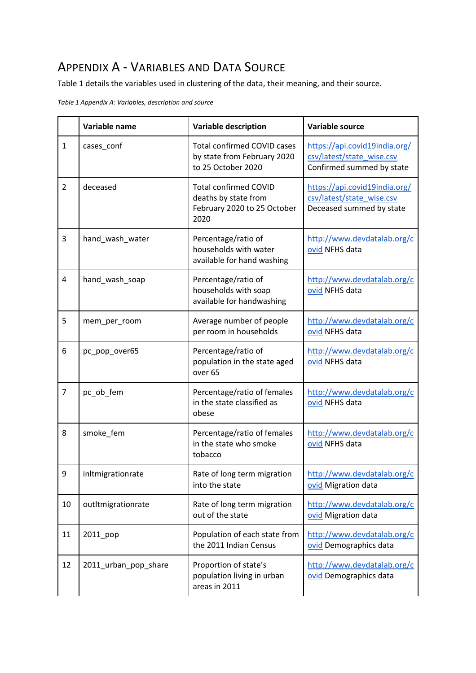# APPENDIX A - VARIABLES AND DATA SOURCE

Table 1 details the variables used in clustering of the data, their meaning, and their source.

*Table 1 Appendix A: Variables, description and source*

|                | Variable name        | <b>Variable description</b>                                                                 | Variable source                                                                         |  |  |  |  |  |  |
|----------------|----------------------|---------------------------------------------------------------------------------------------|-----------------------------------------------------------------------------------------|--|--|--|--|--|--|
| $\mathbf{1}$   | cases_conf           | <b>Total confirmed COVID cases</b><br>by state from February 2020<br>to 25 October 2020     | https://api.covid19india.org/<br>csv/latest/state wise.csv<br>Confirmed summed by state |  |  |  |  |  |  |
| $\overline{2}$ | deceased             | <b>Total confirmed COVID</b><br>deaths by state from<br>February 2020 to 25 October<br>2020 | https://api.covid19india.org/<br>csv/latest/state wise.csv<br>Deceased summed by state  |  |  |  |  |  |  |
| 3              | hand_wash_water      | Percentage/ratio of<br>households with water<br>available for hand washing                  | http://www.devdatalab.org/c<br>ovid NFHS data                                           |  |  |  |  |  |  |
| 4              | hand_wash_soap       | Percentage/ratio of<br>households with soap<br>available for handwashing                    | http://www.devdatalab.org/c<br>ovid NFHS data                                           |  |  |  |  |  |  |
| 5              | mem_per_room         | Average number of people<br>per room in households                                          | http://www.devdatalab.org/c<br>ovid NFHS data                                           |  |  |  |  |  |  |
| 6              | pc_pop_over65        | Percentage/ratio of<br>population in the state aged<br>over <sub>65</sub>                   | http://www.devdatalab.org/c<br>ovid NFHS data                                           |  |  |  |  |  |  |
| $\overline{7}$ | pc_ob_fem            | Percentage/ratio of females<br>in the state classified as<br>obese                          | http://www.devdatalab.org/c<br>ovid NFHS data                                           |  |  |  |  |  |  |
| 8              | smoke_fem            | Percentage/ratio of females<br>in the state who smoke<br>tobacco                            | http://www.devdatalab.org/c<br>ovid NFHS data                                           |  |  |  |  |  |  |
| 9              | inltmigrationrate    | Rate of long term migration<br>into the state                                               | http://www.devdatalab.org/c<br>ovid Migration data                                      |  |  |  |  |  |  |
| 10             | outItmigrationrate   | Rate of long term migration<br>out of the state                                             | http://www.devdatalab.org/c<br>ovid Migration data                                      |  |  |  |  |  |  |
| 11             | 2011_pop             | Population of each state from<br>the 2011 Indian Census                                     | http://www.devdatalab.org/c<br>ovid Demographics data                                   |  |  |  |  |  |  |
| 12             | 2011_urban_pop_share | Proportion of state's<br>population living in urban<br>areas in 2011                        | http://www.devdatalab.org/c<br>ovid Demographics data                                   |  |  |  |  |  |  |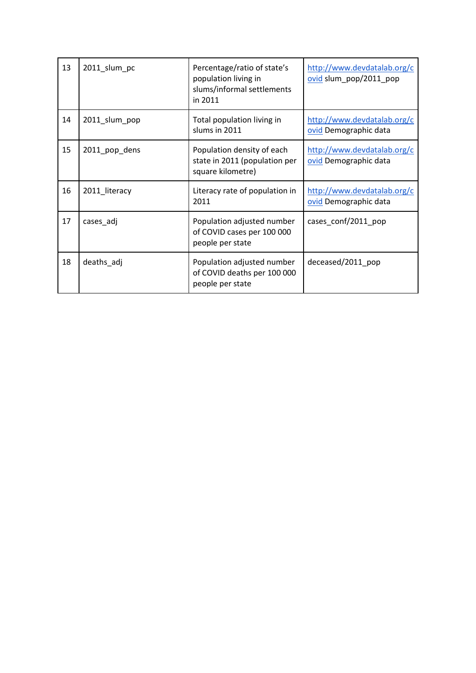| 13 | 2011_slum_pc  | Percentage/ratio of state's<br>population living in<br>slums/informal settlements<br>in 2011 | http://www.devdatalab.org/c<br>ovid slum_pop/2011_pop |
|----|---------------|----------------------------------------------------------------------------------------------|-------------------------------------------------------|
| 14 | 2011_slum_pop | Total population living in<br>slums in 2011                                                  | http://www.devdatalab.org/c<br>ovid Demographic data  |
| 15 | 2011_pop_dens | Population density of each<br>state in 2011 (population per<br>square kilometre)             | http://www.devdatalab.org/c<br>ovid Demographic data  |
| 16 | 2011_literacy | Literacy rate of population in<br>2011                                                       | http://www.devdatalab.org/c<br>ovid Demographic data  |
| 17 | cases_adj     | Population adjusted number<br>of COVID cases per 100 000<br>people per state                 | cases_conf/2011_pop                                   |
| 18 | deaths_adj    | Population adjusted number<br>of COVID deaths per 100 000<br>people per state                | deceased/2011 pop                                     |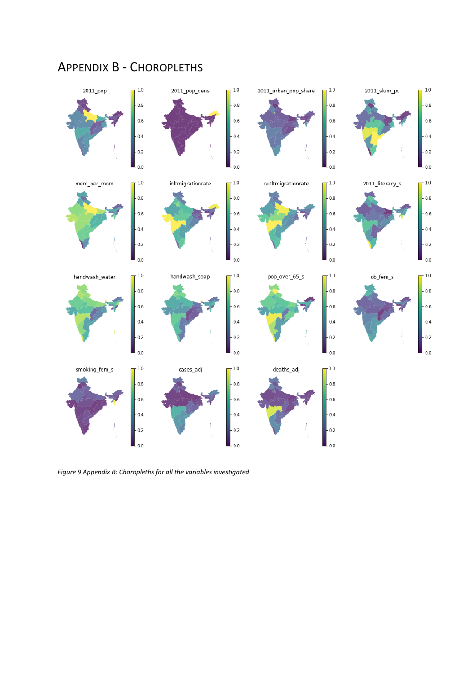

# APPENDIX B - CHOROPLETHS

*Figure 9 Appendix B: Choropleths for all the variables investigated*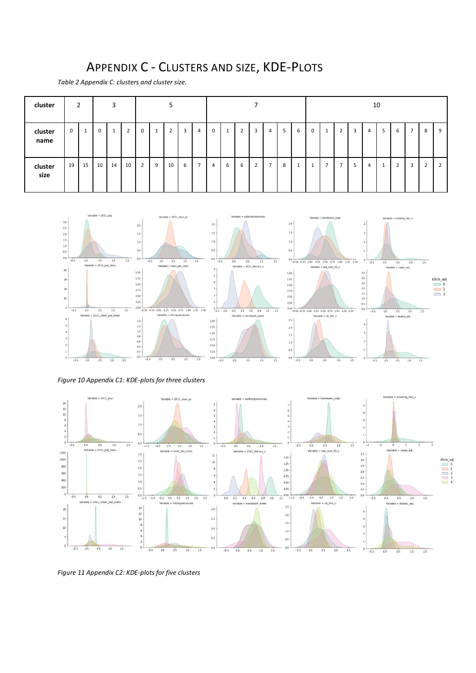# APPENDIX C - CLUSTERS AND SIZE, KDE-PLOTS

*Table 2 Appendix C: clusters and cluster size.*

| cluster         |   | $\overline{2}$ | 3  |    |    | 5              |                           |                |   |                |   |   |   |                |                | 10 |                     |   |                |   |   |   |   |                                        |                |   |   |
|-----------------|---|----------------|----|----|----|----------------|---------------------------|----------------|---|----------------|---|---|---|----------------|----------------|----|---------------------|---|----------------|---|---|---|---|----------------------------------------|----------------|---|---|
| cluster<br>name | 0 | щ              | 0  |    | 2  | 0              | $\mathbf{\mathbf{\perp}}$ | $\overline{2}$ | 3 | 4              | 0 |   | 2 | 3              | 4              | 5  | 6                   | 0 | Ŧ              | ∠ | 3 | 4 | 5 | b                                      | $\overline{7}$ | 8 | 9 |
| cluster<br>size |   | 19 15          | 10 | 14 | 10 | $\overline{2}$ | 9                         | 10             | 6 | $\overline{ }$ | 4 | 6 | 6 | $\overline{2}$ | $\overline{ }$ | 8  | $\overline{ }$<br>Ŧ |   | $\overline{ }$ |   | 5 | 4 |   | $\overline{\phantom{0}}$<br>$\epsilon$ | 3              | ٠ |   |



*Figure 10 Appendix C1: KDE-plots for three clusters*



*Figure 11 Appendix C2: KDE-plots for five clusters*